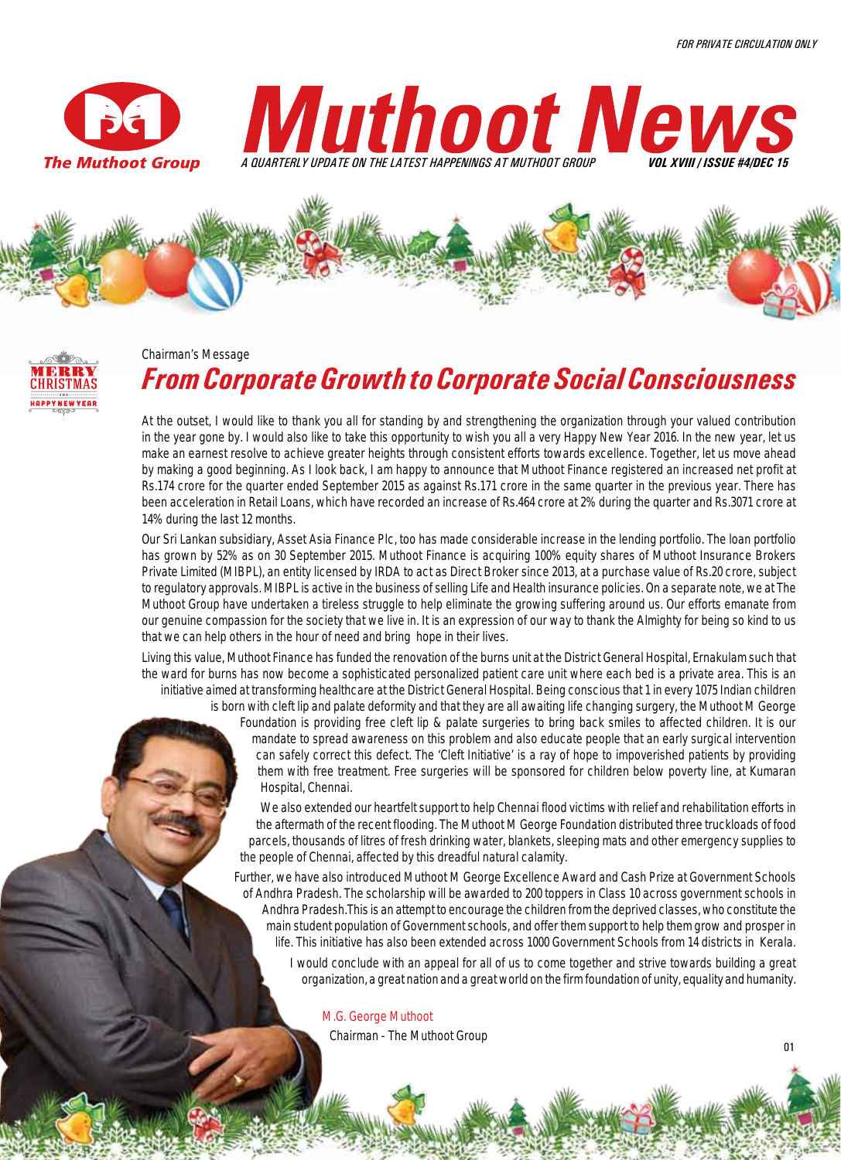







#### Chairman's Message

# *From Corporate Growth to Corporate Social Consciousness*

At the outset, I would like to thank you all for standing by and strengthening the organization through your valued contribution in the year gone by. I would also like to take this opportunity to wish you all a very Happy New Year 2016. In the new year, let us make an earnest resolve to achieve greater heights through consistent efforts towards excellence. Together, let us move ahead by making a good beginning. As I look back, I am happy to announce that Muthoot Finance registered an increased net profit at Rs.174 crore for the quarter ended September 2015 as against Rs.171 crore in the same quarter in the previous year. There has been acceleration in Retail Loans, which have recorded an increase of Rs.464 crore at 2% during the quarter and Rs.3071 crore at 14% during the last 12 months.

Our Sri Lankan subsidiary, Asset Asia Finance Plc, too has made considerable increase in the lending portfolio. The loan portfolio has grown by 52% as on 30 September 2015. Muthoot Finance is acquiring 100% equity shares of Muthoot Insurance Brokers Private Limited (MIBPL), an entity licensed by IRDA to act as Direct Broker since 2013, at a purchase value of Rs.20 crore, subject to regulatory approvals. MIBPL is active in the business of selling Life and Health insurance policies. On a separate note, we at The Muthoot Group have undertaken a tireless struggle to help eliminate the growing suffering around us. Our efforts emanate from our genuine compassion for the society that we live in. It is an expression of our way to thank the Almighty for being so kind to us that we can help others in the hour of need and bring hope in their lives.

Living this value, Muthoot Finance has funded the renovation of the burns unit at the District General Hospital, Ernakulam such that the ward for burns has now become a sophisticated personalized patient care unit where each bed is a private area. This is an initiative aimed at transforming healthcare at the District General Hospital. Being conscious that 1 in every 1075 Indian children is born with cleft lip and palate deformity and that they are all awaiting life changing surgery, the Muthoot M George

Foundation is providing free cleft lip & palate surgeries to bring back smiles to affected children. It is our mandate to spread awareness on this problem and also educate people that an early surgical intervention can safely correct this defect. The 'Cleft Initiative' is a ray of hope to impoverished patients by providing them with free treatment. Free surgeries will be sponsored for children below poverty line, at Kumaran Hospital, Chennai.

We also extended our heartfelt support to help Chennai flood victims with relief and rehabilitation efforts in the aftermath of the recent flooding. The Muthoot M George Foundation distributed three truckloads of food parcels, thousands of litres of fresh drinking water, blankets, sleeping mats and other emergency supplies to the people of Chennai, affected by this dreadful natural calamity.

Further, we have also introduced Muthoot M George Excellence Award and Cash Prize at Government Schools of Andhra Pradesh. The scholarship will be awarded to 200 toppers in Class 10 across government schools in Andhra Pradesh.This is an attempt to encourage the children from the deprived classes, who constitute the main student population of Government schools, and offer them support to help them grow and prosper in life. This initiative has also been extended across 1000 Government Schools from 14 districts in Kerala.

I would conclude with an appeal for all of us to come together and strive towards building a great organization, a great nation and a great world on the firm foundation of unity, equality and humanity.

**M.G. George Muthoot** Chairman - The Muthoot Group 01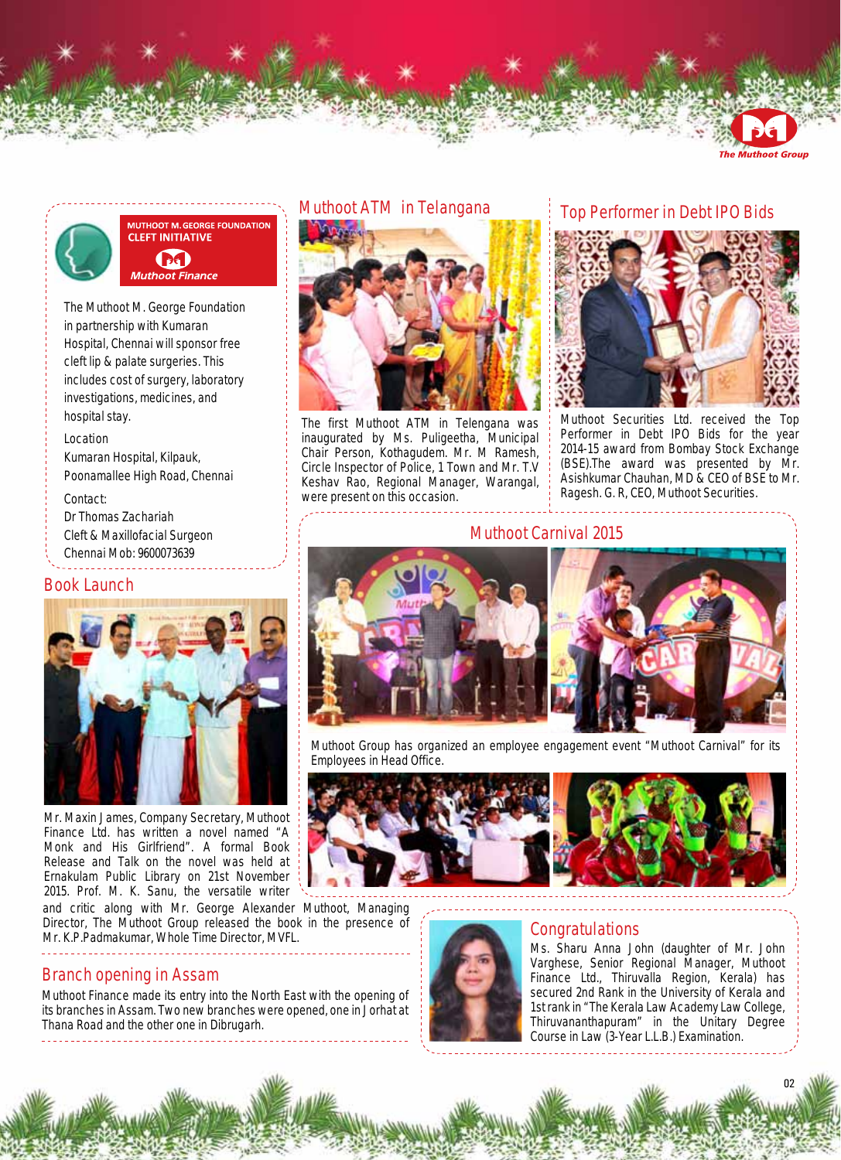

**Muthoot Group** 



#### **MUTHOOT M. GEORGE FOUNDATION CLEFT INITIATIVE BEI Muthoot Finance**

The Muthoot M. George Foundation in partnership with Kumaran Hospital, Chennai will sponsor free cleft lip & palate surgeries. This includes cost of surgery, laboratory investigations, medicines, and hospital stay.

#### **Location**

Kumaran Hospital, Kilpauk, Poonamallee High Road, Chennai

#### **Contact:**

Dr Thomas Zachariah Cleft & Maxillofacial Surgeon Chennai Mob: 9600073639

#### **Book Launch**



Mr. Maxin James, Company Secretary, Muthoot Finance Ltd. has written a novel named "A Monk and His Girlfriend". A formal Book Release and Talk on the novel was held at Ernakulam Public Library on 21st November 2015. Prof. M. K. Sanu, the versatile writer

and critic along with Mr. George Alexander Muthoot, Managing Director, The Muthoot Group released the book in the presence of Mr. K.P.Padmakumar, Whole Time Director, MVFL.

## **Branch opening in Assam**

Muthoot Finance made its entry into the North East with the opening of its branches in Assam. Two new branches were opened, one in Jorhat at Thana Road and the other one in Dibrugarh.

#### **Muthoot ATM in Telangana**



The first Muthoot ATM in Telengana was inaugurated by Ms. Puligeetha, Municipal Chair Person, Kothagudem. Mr. M Ramesh, Circle Inspector of Police, 1 Town and Mr. T.V Keshav Rao, Regional Manager, Warangal, were present on this occasion.

## **Top Performer in Debt IPO Bids**



Muthoot Securities Ltd. received the Top Performer in Debt IPO Bids for the year 2014-15 award from Bombay Stock Exchange (BSE).The award was presented by Mr. Asishkumar Chauhan, MD & CEO of BSE to Mr. Ragesh. G. R, CEO, Muthoot Securities.

#### **Muthoot Carnival 2015**



Muthoot Group has organized an employee engagement event "Muthoot Carnival" for its Employees in Head Office.





## **Congratulations**

Ms. Sharu Anna John (daughter of Mr. John Varghese, Senior Regional Manager, Muthoot Finance Ltd., Thiruvalla Region, Kerala) has secured 2nd Rank in the University of Kerala and 1st rank in "The Kerala Law Academy Law College, Thiruvananthapuram" in the Unitary Degree Course in Law (3-Year L.L.B.) Examination.

02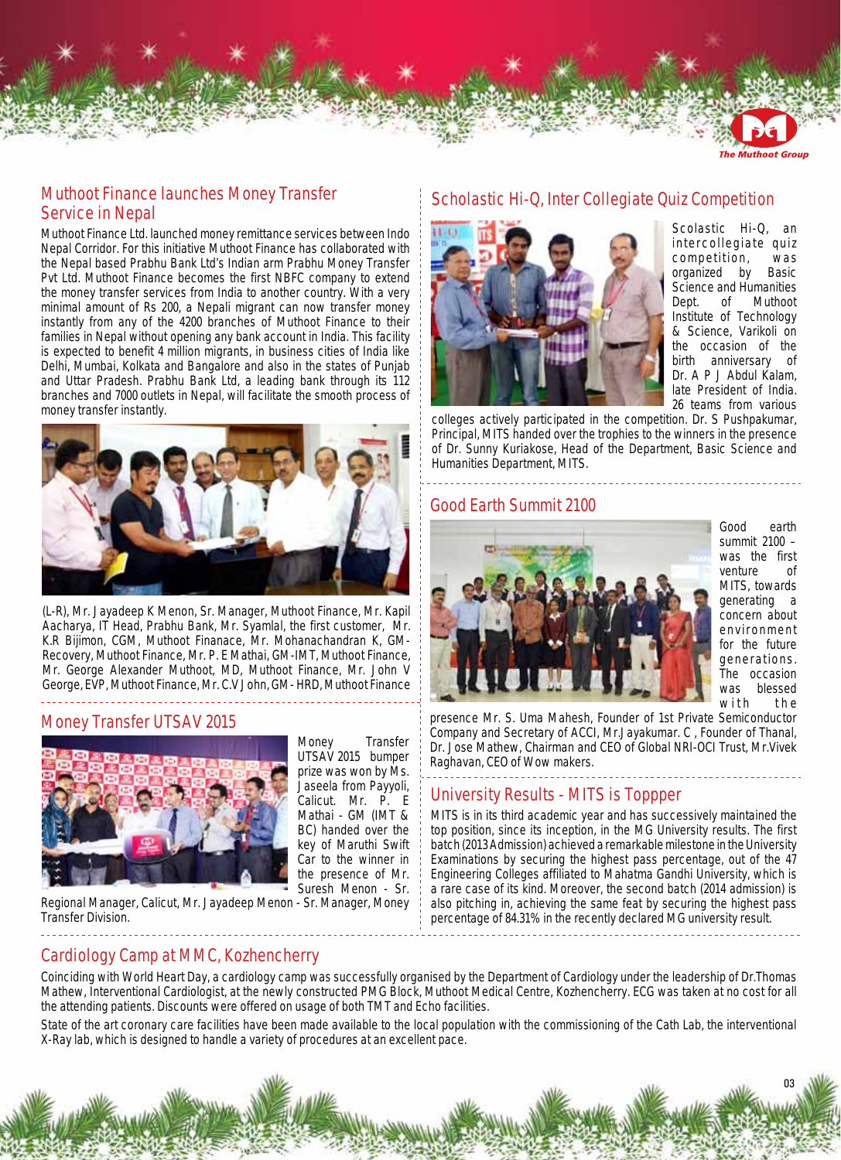

#### **The Muthoot Group**

## **Muthoot Finance launches Money Transfer Service in Nepal**

Muthoot Finance Ltd. launched money remittance services between Indo Nepal Corridor. For this initiative Muthoot Finance has collaborated with the Nepal based Prabhu Bank Ltd's Indian arm Prabhu Money Transfer Pvt Ltd. Muthoot Finance becomes the first NBFC company to extend the money transfer services from India to another country. With a very minimal amount of Rs 200, a Nepali migrant can now transfer money instantly from any of the 4200 branches of Muthoot Finance to their families in Nepal without opening any bank account in India. This facility is expected to benefit 4 million migrants, in business cities of India like Delhi, Mumbai, Kolkata and Bangalore and also in the states of Punjab and Uttar Pradesh. Prabhu Bank Ltd, a leading bank through its 112 branches and 7000 outlets in Nepal, will facilitate the smooth process of money transfer instantly.



(L-R), Mr. Jayadeep K Menon, Sr. Manager, Muthoot Finance, Mr. Kapil Aacharya, IT Head, Prabhu Bank, Mr. Syamlal, the first customer, Mr. K.R Bijimon, CGM, Muthoot Finanace, Mr. Mohanachandran K, GM-Recovery, Muthoot Finance, Mr. P. E Mathai, GM-IMT, Muthoot Finance, Mr. George Alexander Muthoot, MD, Muthoot Finance, Mr. John V George, EVP, Muthoot Finance, Mr. C.V John, GM- HRD, Muthoot Finance 

#### **Money Transfer UTSAV 2015**



Money Transfer UTSAV 2015 bumper prize was won by Ms. Jaseela from Payyoli, Calicut. Mr. P. E Mathai - GM (IMT & BC) handed over the key of Maruthi Swift Car to the winner in the presence of Mr. Suresh Menon - Sr.

Regional Manager, Calicut, Mr. Jayadeep Menon - Sr. Manager, Money Transfer Division.

# **Scholastic Hi-Q, Inter Collegiate Quiz Competition**



Scolastic Hi-Q, an intercollegiate quiz competition, was organized by Basic Science and Humanities Dept. of Muthoot Institute of Technology & Science, Varikoli on the occasion of the birth anniversary of Dr. A P J Abdul Kalam, late President of India. 26 teams from various

\_\_\_\_\_\_\_\_\_\_\_\_\_\_\_\_\_\_\_\_\_\_\_\_\_\_\_\_\_\_\_\_\_\_

colleges actively participated in the competition. Dr. S Pushpakumar, Principal, MITS handed over the trophies to the winners in the presence of Dr. Sunny Kuriakose, Head of the Department, Basic Science and Humanities Department, MITS.

#### **Good Earth Summit 2100**



Good earth summit 2100 – was the first venture of MITS, towards generating a concern about environment for the future generations. The occasion was blessed with the

presence Mr. S. Uma Mahesh, Founder of 1st Private Semiconductor Company and Secretary of ACCI, Mr.Jayakumar. C , Founder of Thanal, Dr. Jose Mathew, Chairman and CEO of Global NRI-OCI Trust, Mr.Vivek Raghavan, CEO of Wow makers.

#### **University Results - MITS is Toppper**

MITS is in its third academic year and has successively maintained the top position, since its inception, in the MG University results. The first batch (2013 Admission) achieved a remarkable milestone in the University Examinations by securing the highest pass percentage, out of the 47 Engineering Colleges affiliated to Mahatma Gandhi University, which is a rare case of its kind. Moreover, the second batch (2014 admission) is also pitching in, achieving the same feat by securing the highest pass percentage of 84.31% in the recently declared MG university result.

**Cardiology Camp at MMC, Kozhencherry**

Coinciding with World Heart Day, a cardiology camp was successfully organised by the Department of Cardiology under the leadership of Dr.Thomas Mathew, Interventional Cardiologist, at the newly constructed PMG Block, Muthoot Medical Centre, Kozhencherry. ECG was taken at no cost for all the attending patients. Discounts were offered on usage of both TMT and Echo facilities.

State of the art coronary care facilities have been made available to the local population with the commissioning of the Cath Lab, the interventional X-Ray lab, which is designed to handle a variety of procedures at an excellent pace.

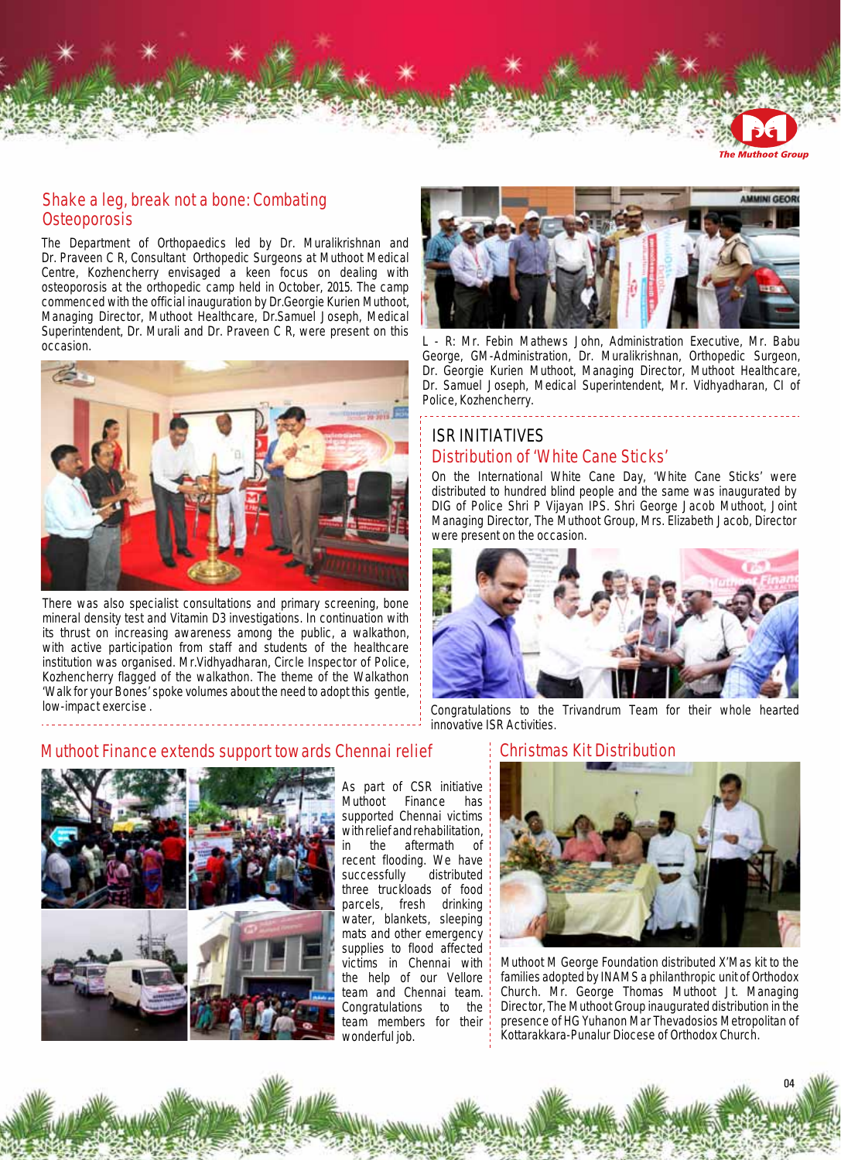

**he Muthoot Group** 

#### **Shake a leg, break not a bone: Combating Osteoporosis**

The Department of Orthopaedics led by Dr. Muralikrishnan and Dr. Praveen C R, Consultant Orthopedic Surgeons at Muthoot Medical Centre, Kozhencherry envisaged a keen focus on dealing with osteoporosis at the orthopedic camp held in October, 2015. The camp commenced with the official inauguration by Dr.Georgie Kurien Muthoot, Managing Director, Muthoot Healthcare, Dr.Samuel Joseph, Medical Superintendent, Dr. Murali and Dr. Praveen C R, were present on this occasion.



There was also specialist consultations and primary screening, bone mineral density test and Vitamin D3 investigations. In continuation with its thrust on increasing awareness among the public, a walkathon, with active participation from staff and students of the healthcare institution was organised. Mr.Vidhyadharan, Circle Inspector of Police, Kozhencherry flagged of the walkathon. The theme of the Walkathon 'Walk for your Bones' spoke volumes about the need to adopt this gentle, low-impact exercise .



L - R: Mr. Febin Mathews John, Administration Executive, Mr. Babu George, GM-Administration, Dr. Muralikrishnan, Orthopedic Surgeon, Dr. Georgie Kurien Muthoot, Managing Director, Muthoot Healthcare, Dr. Samuel Joseph, Medical Superintendent, Mr. Vidhyadharan, CI of Police, Kozhencherry. <u>. . . . . . . . . . . . . . . . .</u>

# **ISR Initiatives Distribution of 'White Cane Sticks'**

On the International White Cane Day, 'White Cane Sticks' were distributed to hundred blind people and the same was inaugurated by DIG of Police Shri P Vijayan IPS. Shri George Jacob Muthoot, Joint Managing Director, The Muthoot Group, Mrs. Elizabeth Jacob, Director were present on the occasion.



Congratulations to the Trivandrum Team for their whole hearted innovative ISR Activities.

## **Muthoot Finance extends support towards Chennai relief**

. . . . . . . . . . . . . . . . . . . .



As part of CSR initiative Muthoot Finance has supported Chennai victims with relief and rehabilitation,<br>in the aftermath of in the aftermath of recent flooding. We have successfully distributed three truckloads of food parcels, fresh drinking water, blankets, sleeping mats and other emergency supplies to flood affected victims in Chennai with the help of our Vellore team and Chennai team. Congratulations to the team members for their wonderful job.

#### **Christmas Kit Distribution**



Muthoot M George Foundation distributed X'Mas kit to the families adopted by INAMS a philanthropic unit of Orthodox Church. Mr. George Thomas Muthoot Jt. Managing Director, The Muthoot Group inaugurated distribution in the presence of HG Yuhanon Mar Thevadosios Metropolitan of Kottarakkara-Punalur Diocese of Orthodox Church.

04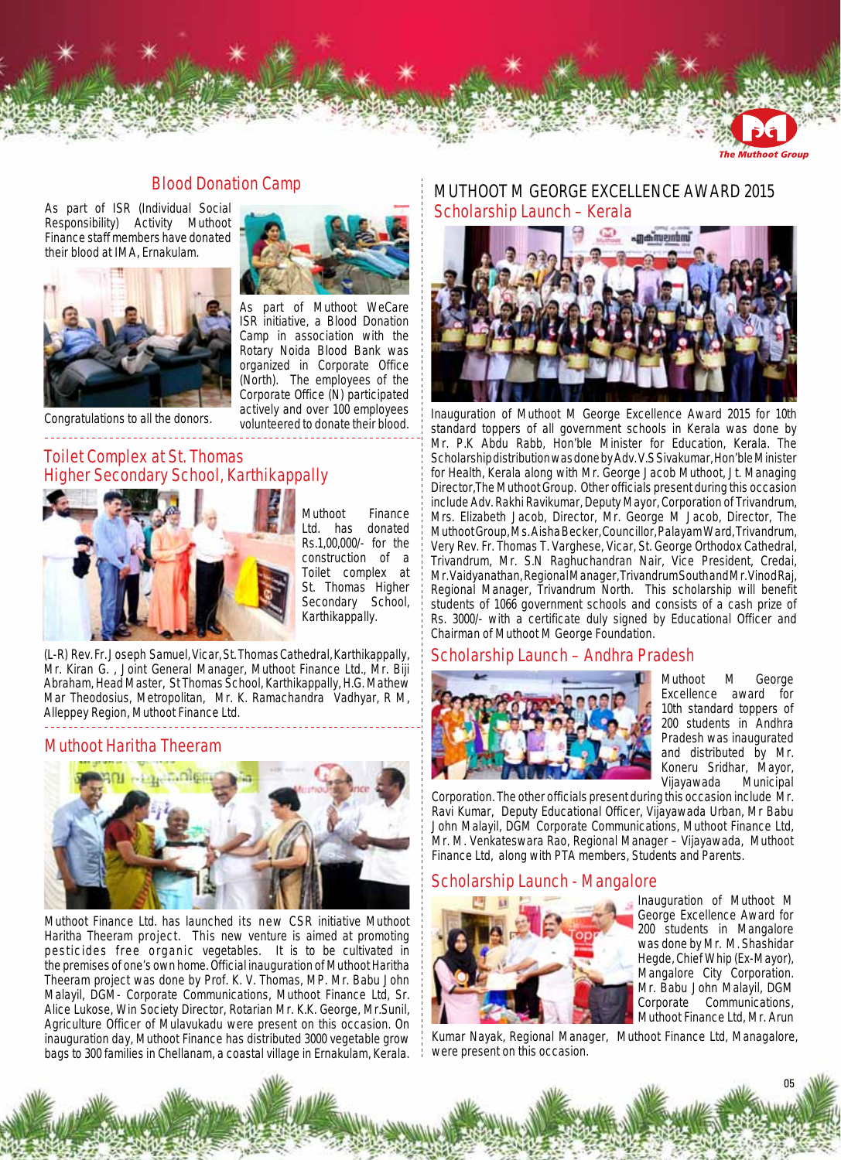

**he Muthoot Group** 

#### **Blood Donation Camp**

As part of ISR (Individual Social Responsibility) Activity Muthoot Finance staff members have donated their blood at IMA, Ernakulam.



Congratulations to all the donors.

## **Toilet Complex at St. Thomas Higher Secondary School, Karthikappally**



Muthoot Finance Ltd. has donated Rs.1,00,000/- for the construction of a Toilet complex at St. Thomas Higher Secondary School, Karthikappally.

As part of Muthoot WeCare ISR initiative, a Blood Donation Camp in association with the Rotary Noida Blood Bank was organized in Corporate Office (North). The employees of the Corporate Office (N) participated actively and over 100 employees volunteered to donate their blood.

(L-R) Rev. Fr. Joseph Samuel, Vicar, St. Thomas Cathedral, Karthikappally, Mr. Kiran G. , Joint General Manager, Muthoot Finance Ltd., Mr. Biji Abraham, Head Master, St Thomas School, Karthikappally, H.G. Mathew Mar Theodosius, Metropolitan, Mr. K. Ramachandra Vadhyar, R M, Alleppey Region, Muthoot Finance Ltd.

#### **Muthoot Haritha Theeram**



Muthoot Finance Ltd. has launched its new CSR initiative Muthoot Haritha Theeram project. This new venture is aimed at promoting pesticides free organic vegetables. It is to be cultivated in the premises of one's own home. Official inauguration of Muthoot Haritha Theeram project was done by Prof. K. V. Thomas, MP. Mr. Babu John Malayil, DGM- Corporate Communications, Muthoot Finance Ltd, Sr. Alice Lukose, Win Society Director, Rotarian Mr. K.K. George, Mr.Sunil, Agriculture Officer of Mulavukadu were present on this occasion. On inauguration day, Muthoot Finance has distributed 3000 vegetable grow bags to 300 families in Chellanam, a coastal village in Ernakulam, Kerala.

## **Scholarship Launch – Kerala Muthoot M George EXcellence Award 2015**



Inauguration of Muthoot M George Excellence Award 2015 for 10th standard toppers of all government schools in Kerala was done by Mr. P.K Abdu Rabb, Hon'ble Minister for Education, Kerala. The Scholarship distribution was done by Adv. V.S Sivakumar, Hon'ble Minister for Health, Kerala along with Mr. George Jacob Muthoot, Jt. Managing Director,The Muthoot Group. Other officials present during this occasion include Adv. Rakhi Ravikumar, Deputy Mayor, Corporation of Trivandrum, Mrs. Elizabeth Jacob, Director, Mr. George M Jacob, Director, The Muthoot Group, Ms. Aisha Becker, Councillor, Palayam Ward, Trivandrum, Very Rev. Fr. Thomas T. Varghese, Vicar, St. George Orthodox Cathedral, Trivandrum, Mr. S.N Raghuchandran Nair, Vice President, Credai, Mr. Vaidyanathan, Regional Manager, Trivandrum South and Mr. Vinod Raj, Regional Manager, Trivandrum North. This scholarship will benefit students of 1066 government schools and consists of a cash prize of Rs. 3000/- with a certificate duly signed by Educational Officer and Chairman of Muthoot M George Foundation.

#### **Scholarship Launch – Andhra Pradesh**



Muthoot M George Excellence award for 10th standard toppers of 200 students in Andhra Pradesh was inaugurated and distributed by Mr. Koneru Sridhar, Mayor,<br>Vijayawada Municipal Vijayawada

Corporation. The other officials present during this occasion include Mr. Ravi Kumar, Deputy Educational Officer, Vijayawada Urban, Mr Babu John Malayil, DGM Corporate Communications, Muthoot Finance Ltd, Mr. M. Venkateswara Rao, Regional Manager – Vijayawada, Muthoot Finance Ltd, along with PTA members, Students and Parents.

#### **Scholarship Launch - Mangalore**



Inauguration of Muthoot M George Excellence Award for 200 students in Mangalore was done by Mr. M. Shashidar Hegde, Chief Whip (Ex-Mayor), Mangalore City Corporation. Mr. Babu John Malayil, DGM Corporate Communications, Muthoot Finance Ltd, Mr. Arun

05

Kumar Nayak, Regional Manager, Muthoot Finance Ltd, Managalore, were present on this occasion.